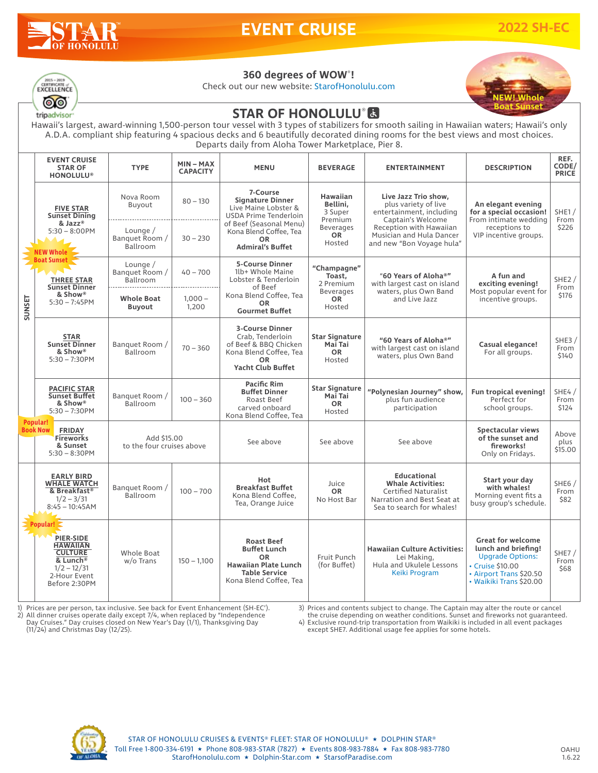

# **EVENT CRUISE 2022 SH-EC**



Check out our new website: StarofHonolulu.com



### $\begin{array}{c}\n\hline\n\text{2015 - 2019}\n\hline\n\text{CERTIFICATION} & \text{or} \\
\hline\n\text{EXCELLENCE}\n\end{array}$ ෙ tripadvisor

## **STAR OF HONOLULU®因**

Hawaii's largest, award-winning 1,500-person tour vessel with 3 types of stabilizers for smooth sailing in Hawaiian waters; Hawaii's only A.D.A. compliant ship featuring 4 spacious decks and 6 beautifully decorated dining rooms for the best views and most choices. Departs daily from Aloha Tower Marketplace, Pier 8.

|                                  | <b>EVENT CRUISE</b><br><b>STAR OF</b><br><b>HONOLULU®</b>                                                                                                                                                     | <b>TYPE</b>                              | $MIN - MAX$<br><b>CAPACITY</b> | <b>MENU</b>                                                                                                                                                                       | <b>BEVERAGE</b>                                                                              | <b>ENTERTAINMENT</b>                                                                                                                                                              | <b>DESCRIPTION</b>                                                                                                                                   | REF.<br>CODE/<br><b>PRICE</b> |
|----------------------------------|---------------------------------------------------------------------------------------------------------------------------------------------------------------------------------------------------------------|------------------------------------------|--------------------------------|-----------------------------------------------------------------------------------------------------------------------------------------------------------------------------------|----------------------------------------------------------------------------------------------|-----------------------------------------------------------------------------------------------------------------------------------------------------------------------------------|------------------------------------------------------------------------------------------------------------------------------------------------------|-------------------------------|
| <b>SUNSET</b><br><b>Popular!</b> | <b>FIVE STAR</b><br><b>Sunset Dining</b><br>& Jazz®<br>$5:30 - 8:00$ PM<br><b>NEW Whole</b><br><b>Boat Sunset</b><br>$\mathbf{L}$<br><b>THREE STAR</b><br><b>Sunset Dinner</b><br>& Show®<br>$5:30 - 7:45$ PM | Nova Room<br>Buyout                      | $80 - 130$                     | 7-Course<br><b>Signature Dinner</b><br>Live Maine Lobster &<br>USDA Prime Tenderloin<br>of Beef (Seasonal Menu)<br>Kona Blend Coffee, Tea<br><b>OR</b><br><b>Admiral's Buffet</b> | <b>Hawaiian</b><br>Bellini.<br>3 Super<br>Premium<br><b>Beverages</b><br><b>OR</b><br>Hosted | Live Jazz Trio show.<br>plus variety of live<br>entertainment, including<br>Captain's Welcome<br>Reception with Hawaiian<br>Musician and Hula Dancer<br>and new "Bon Voyage hula" | An elegant evening<br>for a special occasion!<br>From intimate wedding<br>receptions to<br>VIP incentive groups.                                     | SHE1/<br>From<br>\$226        |
|                                  |                                                                                                                                                                                                               | Lounge $/$<br>Banquet Room /<br>Ballroom | $30 - 230$                     |                                                                                                                                                                                   |                                                                                              |                                                                                                                                                                                   |                                                                                                                                                      |                               |
|                                  |                                                                                                                                                                                                               | Lounge $/$<br>Banquet Room /<br>Ballroom | $40 - 700$                     | <b>5-Course Dinner</b><br>1lb+ Whole Maine<br>Lobster & Tenderloin<br>of Beef<br>Kona Blend Coffee, Tea<br><b>OR</b><br><b>Gourmet Buffet</b>                                     | "Champagne"<br>Toast.<br>2 Premium<br><b>Beverages</b><br><b>OR</b><br>Hosted                | "60 Years of Aloha®"<br>with largest cast on island<br>waters, plus Own Band<br>and Live Jazz                                                                                     | A fun and<br>exciting evening!<br>Most popular event for<br>incentive groups.                                                                        | SHE2/<br>From<br>\$176        |
|                                  |                                                                                                                                                                                                               | <b>Whole Boat</b><br><b>Buyout</b>       | $1.000 -$<br>1,200             |                                                                                                                                                                                   |                                                                                              |                                                                                                                                                                                   |                                                                                                                                                      |                               |
|                                  | <b>STAR</b><br><b>Sunset Dinner</b><br>& Show®<br>$5:30 - 7:30$ PM                                                                                                                                            | Banquet Room /<br>Ballroom               | $70 - 360$                     | <b>3-Course Dinner</b><br>Crab, Tenderloin<br>of Beef & BBQ Chicken<br>Kona Blend Coffee, Tea<br><b>OR</b><br><b>Yacht Club Buffet</b>                                            | <b>Star Signature</b><br>Mai Tai<br><b>OR</b><br>Hosted                                      | "60 Years of Aloha®"<br>with largest cast on island<br>waters, plus Own Band                                                                                                      | Casual elegance!<br>For all groups.                                                                                                                  | SHE3 $/$<br>From<br>\$140     |
|                                  | <b>PACIFIC STAR</b><br><b>Sunset Buffet</b><br>& Show®<br>$5:30 - 7:30$ PM                                                                                                                                    | Banquet Room /<br>Ballroom               | $100 - 360$                    | <b>Pacific Rim</b><br><b>Buffet Dinner</b><br>Roast Beef<br>carved onboard<br>Kona Blend Coffee, Tea                                                                              | <b>Star Signature</b><br>Mai Tai<br><b>OR</b><br>Hosted                                      | "Polynesian Journey" show,<br>plus fun audience<br>participation                                                                                                                  | Fun tropical evening!<br>Perfect for<br>school groups.                                                                                               | SHE4 $/$<br>From<br>\$124     |
|                                  | <b>Book Now</b><br><b>FRIDAY</b><br><b>Fireworks</b><br>& Sunset<br>$5:30 - 8:30$ PM                                                                                                                          | Add \$15,00<br>to the four cruises above |                                | See above                                                                                                                                                                         | See above                                                                                    | See above                                                                                                                                                                         | Spectacular views<br>of the sunset and<br>fireworks!<br>Only on Fridays.                                                                             | Above<br>plus<br>\$15.00      |
|                                  | <b>EARLY BIRD</b><br><b>WHALE WATCH</b><br>& Breakfast <sup>®</sup><br>$1/2 - 3/31$<br>$8:45 - 10:45AM$                                                                                                       | Banquet Room /<br>Ballroom               | $100 - 700$                    | Hot<br><b>Breakfast Buffet</b><br>Kona Blend Coffee.<br>Tea, Orange Juice                                                                                                         | Juice<br><b>OR</b><br>No Host Bar                                                            | <b>Educational</b><br><b>Whale Activities:</b><br><b>Certified Naturalist</b><br>Narration and Best Seat at<br>Sea to search for whales!                                          | Start your day<br>with whales!<br>Morning event fits a<br>busy group's schedule.                                                                     | SHE6/<br>From<br>\$82         |
|                                  | Popular!<br><b>PIER-SIDE</b><br><b>HAWAIIAN</b><br><b>CULTURE</b><br>& Lunch <sup>®</sup><br>$1/2 - 12/31$<br>2-Hour Event<br>Before 2:30PM                                                                   | <b>Whole Boat</b><br>w/o Trans           | $150 - 1,100$                  | <b>Roast Beef</b><br><b>Buffet Lunch</b><br><b>OR</b><br><b>Hawaiian Plate Lunch</b><br><b>Table Service</b><br>Kona Blend Coffee, Tea                                            | Fruit Punch<br>(for Buffet)                                                                  | <b>Hawaiian Culture Activities:</b><br>Lei Making,<br>Hula and Ukulele Lessons<br>Keiki Program                                                                                   | <b>Great for welcome</b><br>lunch and briefing!<br><b>Upgrade Options:</b><br>• Cruise \$10.00<br>• Airport Trans \$20.50<br>• Waikiki Trans \$20.00 | SHE7/<br>From<br>\$68         |

1) Prices are per person, tax inclusive. See back for Event Enhancement (SH-EC').<br>2) All dinner cruises operate daily except 7/4, when replaced by "Independence<br>Day Cruises." Day cruises closed on New Year's Day (1/1), Tha

3) Prices and contents subject to change. The Captain may alter the route or cancel

the cruise depending on weather conditions. Sunset and fireworks not guaranteed. 4) Exclusive round-trip transportation from Waikiki is included in all event packages except SHE7. Additional usage fee applies for some hotels.